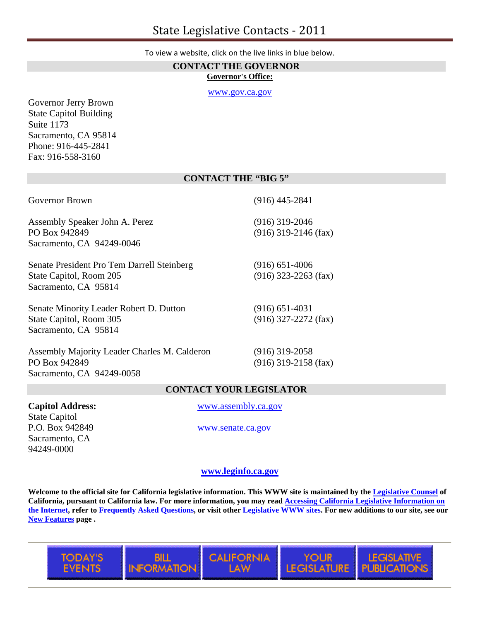**CONTACT THE GOVERNOR Governor's Office:**

[www.gov.ca.gov](http://www.gov.ca.gov/)

Governor Jerry Brown State Capitol Building Suite 1173 Sacramento, CA 95814 Phone: 916-445-2841 Fax: 916-558-3160

## **CONTACT THE "BIG 5"**

| Governor Brown                                                                                | $(916)$ 445-2841                             |
|-----------------------------------------------------------------------------------------------|----------------------------------------------|
| Assembly Speaker John A. Perez<br>PO Box 942849                                               | $(916)$ 319-2046<br>$(916)$ 319-2146 (fax)   |
| Sacramento, CA 94249-0046                                                                     |                                              |
| Senate President Pro Tem Darrell Steinberg<br>State Capitol, Room 205<br>Sacramento, CA 95814 | $(916)$ 651-4006<br>$(916)$ 323-2263 (fax)   |
| Senate Minority Leader Robert D. Dutton<br>State Capitol, Room 305<br>Sacramento, CA 95814    | $(916) 651 - 4031$<br>$(916)$ 327-2272 (fax) |

Assembly Majority Leader Charles M. Calderon (916) 319-2058 PO Box 942849 (916) 319-2158 (fax) Sacramento, CA 94249-0058

YOUR

**LEGISLATURE** 

LEGISL

PUBLIC

## **CONTACT YOUR LEGISLATOR**

State Capitol P.O. Box 942849 [www.senate.ca.gov](http://www.senate.ca.gove/) Sacramento, CA 94249-0000

**Capitol Address:** [www.assembly.ca.gov](http://www.assembly.ca.gov/)

## **[www.leginfo.ca.gov](http://www.leginfo.ca.gov/)**

**Welcome to the official site for California legislative information. This WWW site is maintained by the [Legislative Counsel](http://www.legislativecounsel.ca.gov/) of California, pursuant to California law. For more information, you may read [Accessing California Legislative Information on](http://www.leginfo.ca.gov/guide.html)  [the Internet,](http://www.leginfo.ca.gov/guide.html) refer to [Frequently Asked Questions](http://www.leginfo.ca.gov/faq.html), or visit other [Legislative WWW sites](http://www.leginfo.ca.gov/legsite.html). For new additions to our site, see our [New Features](http://www.leginfo.ca.gov/newfeat.html) page .** 

**CALIFORNIA** 



BILL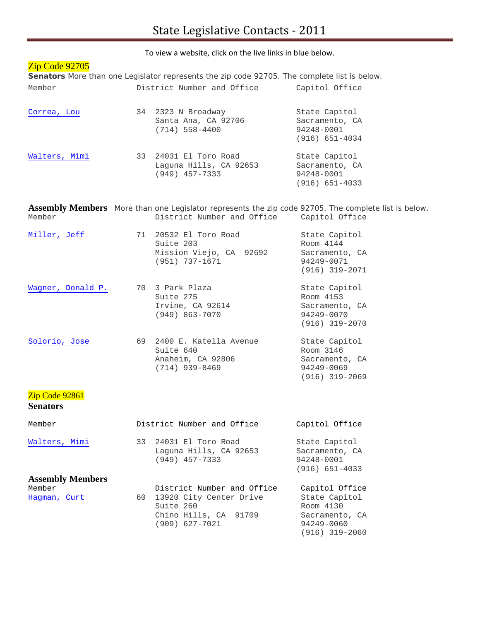# Zip Code 92705

**Senators** More than one Legislator represents the zip code 92705. The complete list is below. Member District Number and Office Capitol Office

| Correa, Lou   | 34 2323 N Broadway<br>Santa Ana, CA 92706<br>$(714)$ 558-4400       | State Capitol<br>Sacramento, CA<br>94248-0001<br>$(916) 651 - 4034$ |
|---------------|---------------------------------------------------------------------|---------------------------------------------------------------------|
| Walters, Mimi | 33 24031 El Toro Road<br>Laquna Hills, CA 92653<br>$(949)$ 457-7333 | State Capitol<br>Sacramento, CA<br>94248-0001<br>$(916) 651 - 4033$ |

**Assembly Members** More than one Legislator represents the zip code 92705. The complete list is below. District Number and Office Capitol Office

| Miller, Jeff      | 71 | 20532 El Toro Road<br>Suite 203<br>Mission Viejo, CA 92692<br>(951) 737-1671 | State Capitol<br>Room 4144<br>Sacramento, CA<br>94249-0071<br>$(916)$ 319-2071 |
|-------------------|----|------------------------------------------------------------------------------|--------------------------------------------------------------------------------|
| Wagner, Donald P. |    | 70 3 Park Plaza<br>Suite 275<br>Irvine, CA 92614<br>$(949)$ 863-7070         | State Capitol<br>Room 4153<br>Sacramento, CA<br>94249-0070<br>$(916)$ 319-2070 |
| Solorio, Jose     | 69 | 2400 E. Katella Avenue<br>Suite 640<br>Anaheim, CA 92806<br>$(714)$ 939-8469 | State Capitol<br>Room 3146<br>Sacramento, CA<br>94249-0069<br>$(916)$ 319-2069 |

# Zip Code 92861

## **Senators**

| Member                  |      | District Number and Office                                       | Capitol Office                                                      |
|-------------------------|------|------------------------------------------------------------------|---------------------------------------------------------------------|
| Walters, Mimi           | 33   | 24031 El Toro Road<br>Laquna Hills, CA 92653<br>$(949)$ 457-7333 | State Capitol<br>Sacramento, CA<br>94248-0001<br>$(916) 651 - 4033$ |
| <b>Assembly Members</b> |      |                                                                  |                                                                     |
| Member                  |      | District Number and Office                                       | Capitol Office                                                      |
| Hagman, Curt            | 60 - | 13920 City Center Drive<br>Suite 260                             | State Capitol<br>Room 4130                                          |
|                         |      | Chino Hills, CA 91709<br>$(909)$ 627-7021                        | Sacramento, CA<br>94249-0060<br>$(916)$ 319-2060                    |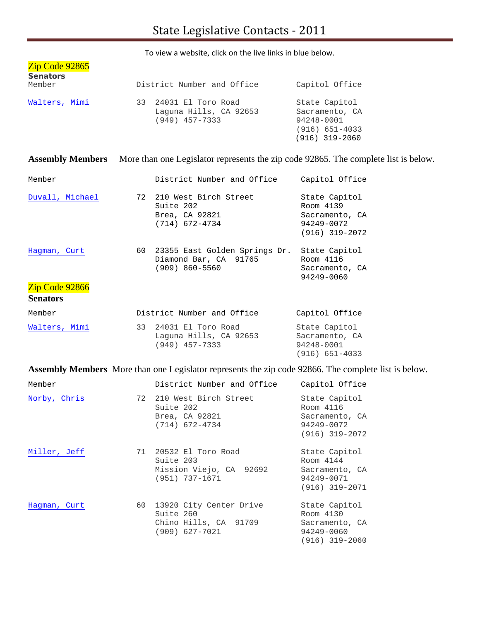| Zip Code 92865            |                                                                     |                                                                                         |
|---------------------------|---------------------------------------------------------------------|-----------------------------------------------------------------------------------------|
| <b>Senators</b><br>Member | District Number and Office                                          | Capitol Office                                                                          |
| Walters, Mimi             | 33 24031 El Toro Road<br>Laquna Hills, CA 92653<br>$(949)$ 457-7333 | State Capitol<br>Sacramento, CA<br>94248-0001<br>$(916) 651 - 4033$<br>$(916)$ 319-2060 |

**Assembly Members** More than one Legislator represents the zip code 92865. The complete list is below.

| Member                                            |      | District Number and Office                                                   | Capitol Office                                                                 |
|---------------------------------------------------|------|------------------------------------------------------------------------------|--------------------------------------------------------------------------------|
| Duvall, Michael                                   |      | 72 210 West Birch Street<br>Suite 202<br>Brea, CA 92821<br>$(714)$ 672-4734  | State Capitol<br>Room 4139<br>Sacramento, CA<br>94249-0072<br>$(916)$ 319-2072 |
| Hagman, Curt<br>Zip Code 92866<br><b>Senators</b> | 60 - | 23355 East Golden Springs Dr.<br>Diamond Bar, CA 91765<br>$(909) 860 - 5560$ | State Capitol<br>Room 4116<br>Sacramento, CA<br>94249-0060                     |
| Member                                            |      | District Number and Office                                                   | Capitol Office                                                                 |
| Walters, Mimi                                     | 33   | 24031 El Toro Road<br>Laquna Hills, CA 92653<br>$(949)$ 457-7333             | State Capitol<br>Sacramento, CA<br>94248-0001<br>$(916) 651 - 4033$            |

**Assembly Members** More than one Legislator represents the zip code 92866. The complete list is below.

| Member       |      | District Number and Office                                                        | Capitol Office                                                                 |
|--------------|------|-----------------------------------------------------------------------------------|--------------------------------------------------------------------------------|
| Norby, Chris |      | 72 210 West Birch Street<br>Suite 202<br>Brea, CA 92821<br>$(714)$ 672-4734       | State Capitol<br>Room 4116<br>Sacramento, CA<br>94249-0072<br>$(916)$ 319-2072 |
| Miller, Jeff |      | 71 20532 El Toro Road<br>Suite 203<br>Mission Viejo, CA 92692<br>(951) 737-1671   | State Capitol<br>Room 4144<br>Sacramento, CA<br>94249-0071<br>$(916)$ 319-2071 |
| Hagman, Curt | 60 - | 13920 City Center Drive<br>Suite 260<br>Chino Hills, CA 91709<br>$(909)$ 627-7021 | State Capitol<br>Room 4130<br>Sacramento, CA<br>94249-0060<br>$(916)$ 319-2060 |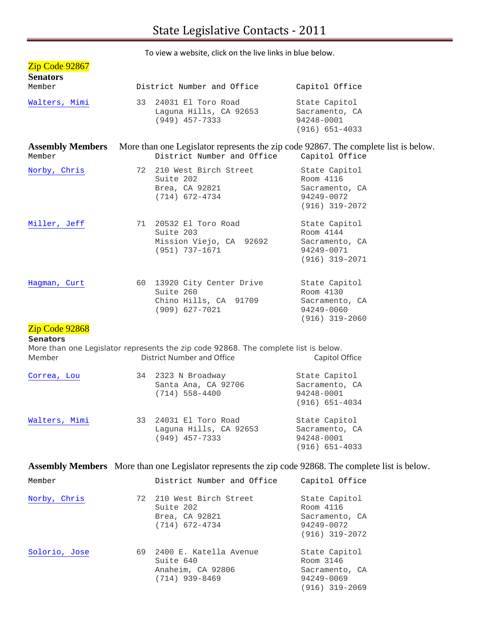| To view a website, click on the live links in blue below. |    |                                                                                                                          |                                                                                                                               |  |  |  |
|-----------------------------------------------------------|----|--------------------------------------------------------------------------------------------------------------------------|-------------------------------------------------------------------------------------------------------------------------------|--|--|--|
| Zip Code 92867<br><b>Senators</b><br>Member               |    | District Number and Office                                                                                               | Capitol Office                                                                                                                |  |  |  |
| Walters, Mimi                                             | 33 | 24031 El Toro Road<br>Laguna Hills, CA 92653<br>$(949)$ 457-7333                                                         | State Capitol<br>Sacramento, CA<br>94248-0001<br>$(916) 651 - 4033$                                                           |  |  |  |
| Member                                                    |    | District Number and Office                                                                                               | <b>Assembly Members</b> More than one Legislator represents the zip code 92867. The complete list is below.<br>Capitol Office |  |  |  |
| Norby, Chris                                              |    | 72 210 West Birch Street<br>Suite 202<br>Brea, CA 92821<br>$(714)$ 672-4734                                              | State Capitol<br>Room 4116<br>Sacramento, CA<br>94249-0072<br>$(916)$ 319-2072                                                |  |  |  |
| Miller, Jeff                                              | 71 | 20532 El Toro Road<br>Suite 203<br>Mission Viejo, CA 92692<br>(951) 737-1671                                             | State Capitol<br>Room 4144<br>Sacramento, CA<br>94249-0071<br>(916) 319-2071                                                  |  |  |  |
| Hagman, Curt<br>Zip Code 92868                            |    | 60 13920 City Center Drive<br>Suite 260<br>Chino Hills, CA 91709<br>$(909)$ 627-7021                                     | State Capitol<br>Room 4130<br>Sacramento, CA<br>94249-0060<br>$(916)$ 319-2060                                                |  |  |  |
| <b>Senators</b><br>Member                                 |    | More than one Legislator represents the zip code 92868. The complete list is below.<br><b>District Number and Office</b> | Capitol Office                                                                                                                |  |  |  |
| Correa, Lou                                               | 34 | 2323 N Broadway<br>Santa Ana, CA 92706<br>$(714) 558 - 4400$                                                             | State Capitol<br>Sacramento, CA<br>94248-0001<br>$(916) 651 - 4034$                                                           |  |  |  |
| Walters, Mimi                                             | 33 | 24031 El Toro Road<br>Laguna Hills, CA 92653<br>$(949)$ 457-7333                                                         | State Capitol<br>Sacramento, CA<br>94248-0001<br>$(916) 651 - 4033$                                                           |  |  |  |
|                                                           |    | Assembly Members More than one Legislator represents the zip code 92868. The complete list is below.                     |                                                                                                                               |  |  |  |
| Member                                                    |    | District Number and Office                                                                                               | Capitol Office                                                                                                                |  |  |  |
| Norby, Chris                                              | 72 | 210 West Birch Street<br>Suite 202<br>Brea, CA 92821<br>$(714)$ 672-4734                                                 | State Capitol<br>Room 4116<br>Sacramento, CA<br>94249-0072<br>$(916)$ 319-2072                                                |  |  |  |

 Suite 640 Room 3146 Anaheim, CA 92806 Sacramento<br>
(714) 939-8469 94249-0069

(916) 319-2069

 $(714)$  939-8469

[Solorio, Jose](http://www.assembly.ca.gov/acs/legmem.asp?district=69) 69 2400 E. Katella Avenue State Capitol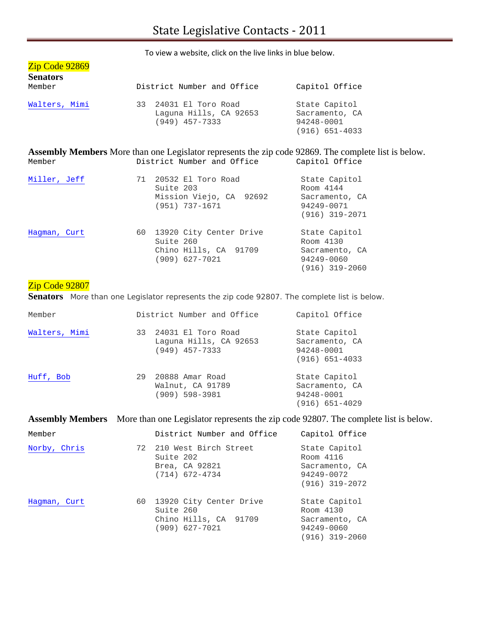Chino Hills, CA 91709 Sacramento, CA<br>(909) 627-7021 94249-0060

(916) 319-2060

| Zip Code 92869<br><b>Senators</b><br>Member | District Number and Office                                                                                                                | Capitol Office                                                                 |
|---------------------------------------------|-------------------------------------------------------------------------------------------------------------------------------------------|--------------------------------------------------------------------------------|
|                                             |                                                                                                                                           |                                                                                |
| Walters, Mimi                               | 33 24031 El Toro Road<br>Laquna Hills, CA 92653<br>$(949)$ 457-7333                                                                       | State Capitol<br>Sacramento, CA<br>94248-0001<br>$(916) 651 - 4033$            |
| Member                                      | <b>Assembly Members</b> More than one Legislator represents the zip code 92869. The complete list is below.<br>District Number and Office | Capitol Office                                                                 |
| Miller, Jeff                                | 71 20532 El Toro Road<br>Suite 203<br>Mission Viejo, CA 92692<br>$(951) 737 - 1671$                                                       | State Capitol<br>Room 4144<br>Sacramento, CA<br>94249-0071<br>$(916)$ 319-2071 |
| Hagman, Curt                                | 60 13920 City Center Drive<br>Suite 260                                                                                                   | State Capitol<br>Room 4130                                                     |

# Zip Code 92807

Senators More than one Legislator represents the zip code 92807. The complete list is below.

(909) 627-7021

| Member        |    | District Number and Office                                       | Capitol Office                                                      |
|---------------|----|------------------------------------------------------------------|---------------------------------------------------------------------|
| Walters, Mimi | 33 | 24031 El Toro Road<br>Laquna Hills, CA 92653<br>$(949)$ 457-7333 | State Capitol<br>Sacramento, CA<br>94248-0001<br>$(916) 651 - 4033$ |
| Huff, Bob     | 29 | 20888 Amar Road<br>Walnut, CA 91789<br>$(909)$ 598-3981          | State Capitol<br>Sacramento, CA<br>94248-0001<br>(916) 651-4029     |

**Assembly Members** More than one Legislator represents the zip code 92807. The complete list is below.

| Member       |      | District Number and Office                                                      | Capitol Office                                                                 |
|--------------|------|---------------------------------------------------------------------------------|--------------------------------------------------------------------------------|
| Norby, Chris |      | 72 210 West Birch Street<br>Suite 202<br>Brea, CA 92821<br>$(714)$ 672-4734     | State Capitol<br>Room 4116<br>Sacramento, CA<br>94249-0072<br>$(916)$ 319-2072 |
| Hagman, Curt | 60 - | 13920 City Center Drive<br>Suite 260<br>Chino Hills, CA 91709<br>(909) 627-7021 | State Capitol<br>Room 4130<br>Sacramento, CA<br>94249-0060<br>$(916)$ 319-2060 |